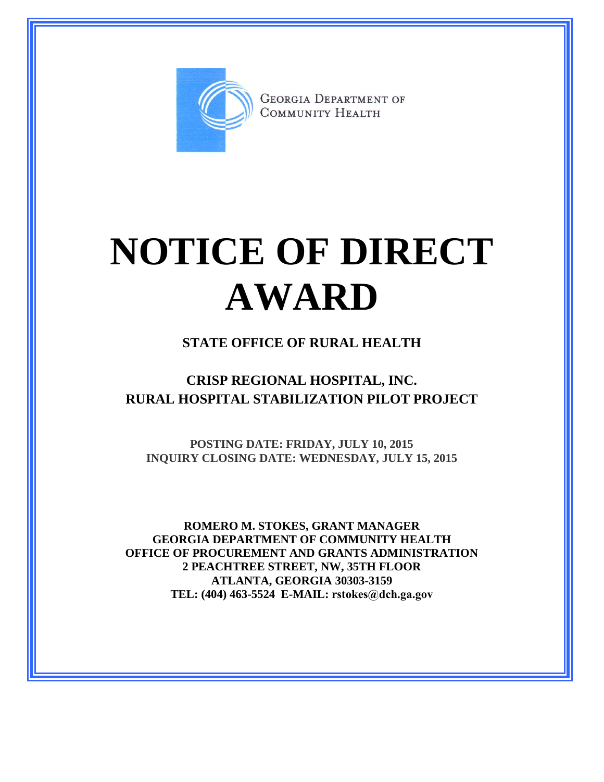

**GEORGIA DEPARTMENT OF** COMMUNITY HEALTH

# **NOTICE OF DIRECT AWARD**

#### **STATE OFFICE OF RURAL HEALTH**

### **CRISP REGIONAL HOSPITAL, INC. RURAL HOSPITAL STABILIZATION PILOT PROJECT**

**POSTING DATE: FRIDAY, JULY 10, 2015 INQUIRY CLOSING DATE: WEDNESDAY, JULY 15, 2015**

**ROMERO M. STOKES, GRANT MANAGER GEORGIA DEPARTMENT OF COMMUNITY HEALTH OFFICE OF PROCUREMENT AND GRANTS ADMINISTRATION 2 PEACHTREE STREET, NW, 35TH FLOOR ATLANTA, GEORGIA 30303-3159 TEL: (404) 463-5524 E-MAIL: rstokes@dch.ga.gov**